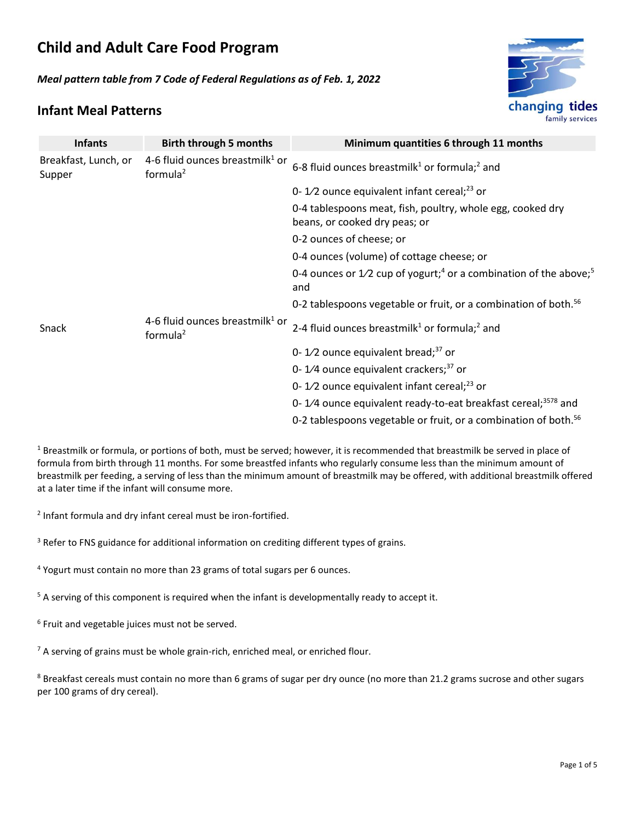# **Child and Adult Care Food Program**

*Meal pattern table from 7 Code of Federal Regulations as of Feb. 1, 2022*



### **Infant Meal Patterns**

| <b>Infants</b>                 | <b>Birth through 5 months</b>                     | Minimum quantities 6 through 11 months                                                             |
|--------------------------------|---------------------------------------------------|----------------------------------------------------------------------------------------------------|
| Breakfast, Lunch, or<br>Supper | 4-6 fluid ounces breastmilk $1$ or<br>formula $2$ | 6-8 fluid ounces breastmilk <sup>1</sup> or formula; <sup>2</sup> and                              |
|                                |                                                   | 0-1/2 ounce equivalent infant cereal; $^{23}$ or                                                   |
|                                |                                                   | 0-4 tablespoons meat, fish, poultry, whole egg, cooked dry<br>beans, or cooked dry peas; or        |
|                                |                                                   | 0-2 ounces of cheese; or                                                                           |
|                                |                                                   | 0-4 ounces (volume) of cottage cheese; or                                                          |
|                                |                                                   | 0-4 ounces or $1/2$ cup of yogurt; <sup>4</sup> or a combination of the above; <sup>5</sup><br>and |
|                                |                                                   | 0-2 tablespoons vegetable or fruit, or a combination of both. <sup>56</sup>                        |
| Snack                          | 4-6 fluid ounces breastmilk $1$ or<br>formula $2$ | 2-4 fluid ounces breastmilk <sup>1</sup> or formula; <sup>2</sup> and                              |
|                                |                                                   | 0-1/2 ounce equivalent bread; $37$ or                                                              |
|                                |                                                   | 0-1/4 ounce equivalent crackers; $37$ or                                                           |
|                                |                                                   | 0-1/2 ounce equivalent infant cereal; <sup>23</sup> or                                             |
|                                |                                                   | 0-1/4 ounce equivalent ready-to-eat breakfast cereal; <sup>3578</sup> and                          |
|                                |                                                   | 0-2 tablespoons vegetable or fruit, or a combination of both. <sup>56</sup>                        |

<sup>1</sup> Breastmilk or formula, or portions of both, must be served; however, it is recommended that breastmilk be served in place of formula from birth through 11 months. For some breastfed infants who regularly consume less than the minimum amount of breastmilk per feeding, a serving of less than the minimum amount of breastmilk may be offered, with additional breastmilk offered at a later time if the infant will consume more.

<sup>2</sup> Infant formula and dry infant cereal must be iron-fortified.

<sup>3</sup> Refer to FNS guidance for additional information on crediting different types of grains.

<sup>4</sup> Yogurt must contain no more than 23 grams of total sugars per 6 ounces.

 $5$  A serving of this component is required when the infant is developmentally ready to accept it.

6 Fruit and vegetable juices must not be served.

 $<sup>7</sup>$  A serving of grains must be whole grain-rich, enriched meal, or enriched flour.</sup>

<sup>8</sup> Breakfast cereals must contain no more than 6 grams of sugar per dry ounce (no more than 21.2 grams sucrose and other sugars per 100 grams of dry cereal).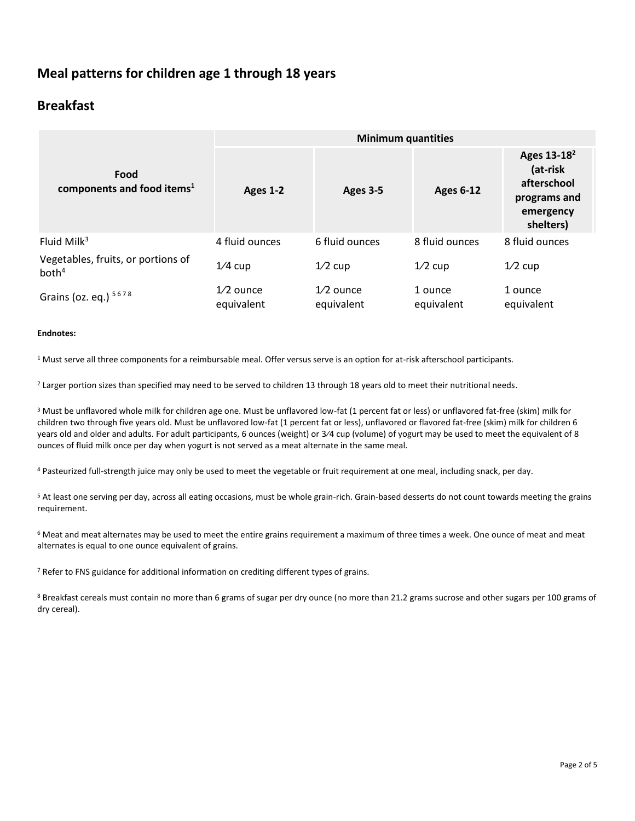## **Meal patterns for children age 1 through 18 years**

### **Breakfast**

|                                                         | <b>Minimum quantities</b> |                           |                       |                                                                                              |  |
|---------------------------------------------------------|---------------------------|---------------------------|-----------------------|----------------------------------------------------------------------------------------------|--|
| Food<br>components and food items <sup>1</sup>          | Ages 1-2                  | <b>Ages 3-5</b>           | <b>Ages 6-12</b>      | Ages 13-18 <sup>2</sup><br>(at-risk<br>afterschool<br>programs and<br>emergency<br>shelters) |  |
| Fluid Milk $3$                                          | 4 fluid ounces            | 6 fluid ounces            | 8 fluid ounces        | 8 fluid ounces                                                                               |  |
| Vegetables, fruits, or portions of<br>both <sup>4</sup> | $1/4$ cup                 | $1/2$ cup                 | $1/2$ cup             | $1/2$ cup                                                                                    |  |
| Grains (oz. eq.) 5678                                   | $1/2$ ounce<br>equivalent | $1/2$ ounce<br>equivalent | 1 ounce<br>equivalent | 1 ounce<br>equivalent                                                                        |  |

#### **Endnotes:**

<sup>1</sup> Must serve all three components for a reimbursable meal. Offer versus serve is an option for at-risk afterschool participants.

<sup>2</sup> Larger portion sizes than specified may need to be served to children 13 through 18 years old to meet their nutritional needs.

<sup>3</sup> Must be unflavored whole milk for children age one. Must be unflavored low-fat (1 percent fat or less) or unflavored fat-free (skim) milk for children two through five years old. Must be unflavored low-fat (1 percent fat or less), unflavored or flavored fat-free (skim) milk for children 6 years old and older and adults. For adult participants, 6 ounces (weight) or 3⁄4 cup (volume) of yogurt may be used to meet the equivalent of 8 ounces of fluid milk once per day when yogurt is not served as a meat alternate in the same meal.

<sup>4</sup> Pasteurized full-strength juice may only be used to meet the vegetable or fruit requirement at one meal, including snack, per day.

<sup>5</sup> At least one serving per day, across all eating occasions, must be whole grain-rich. Grain-based desserts do not count towards meeting the grains requirement.

<sup>6</sup> Meat and meat alternates may be used to meet the entire grains requirement a maximum of three times a week. One ounce of meat and meat alternates is equal to one ounce equivalent of grains.

 $7$  Refer to FNS guidance for additional information on crediting different types of grains.

8 Breakfast cereals must contain no more than 6 grams of sugar per dry ounce (no more than 21.2 grams sucrose and other sugars per 100 grams of dry cereal).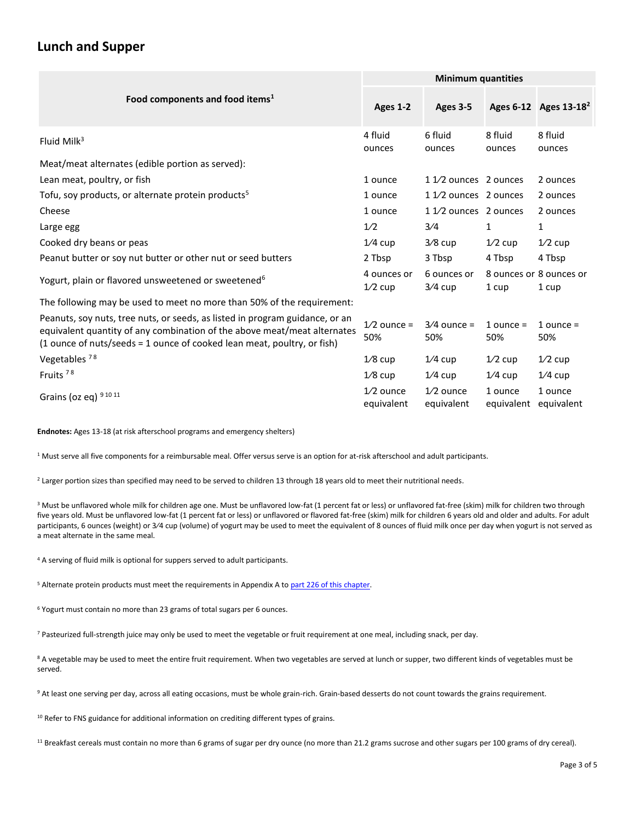### **Lunch and Supper**

|                                                                                                                                                                                                                                     | <b>Minimum quantities</b> |                           |                       |                                   |
|-------------------------------------------------------------------------------------------------------------------------------------------------------------------------------------------------------------------------------------|---------------------------|---------------------------|-----------------------|-----------------------------------|
| Food components and food items <sup>1</sup>                                                                                                                                                                                         | Ages 1-2                  | Ages 3-5                  |                       | Ages 6-12 Ages 13-18 <sup>2</sup> |
| Fluid Milk $3$                                                                                                                                                                                                                      | 4 fluid<br>ounces         | 6 fluid<br>ounces         | 8 fluid<br>ounces     | 8 fluid<br>ounces                 |
| Meat/meat alternates (edible portion as served):                                                                                                                                                                                    |                           |                           |                       |                                   |
| Lean meat, poultry, or fish                                                                                                                                                                                                         | 1 ounce                   | 1 1/2 ounces 2 ounces     |                       | 2 ounces                          |
| Tofu, soy products, or alternate protein products <sup>5</sup>                                                                                                                                                                      | 1 ounce                   | 1 1/2 ounces 2 ounces     |                       | 2 ounces                          |
| Cheese                                                                                                                                                                                                                              | 1 ounce                   | 1 1/2 ounces 2 ounces     |                       | 2 ounces                          |
| Large egg                                                                                                                                                                                                                           | 1/2                       | 3/4                       | $\mathbf{1}$          | 1                                 |
| Cooked dry beans or peas                                                                                                                                                                                                            | $1/4$ cup                 | $3/8$ cup                 | $1/2$ cup             | $1/2$ cup                         |
| Peanut butter or soy nut butter or other nut or seed butters                                                                                                                                                                        | 2 Tbsp                    | 3 Tbsp                    | 4 Tbsp                | 4 Tbsp                            |
| Yogurt, plain or flavored unsweetened or sweetened <sup>6</sup>                                                                                                                                                                     | 4 ounces or<br>$1/2$ cup  | 6 ounces or<br>$3/4$ cup  | 1 cup                 | 8 ounces or 8 ounces or<br>1 cup  |
| The following may be used to meet no more than 50% of the requirement:                                                                                                                                                              |                           |                           |                       |                                   |
| Peanuts, soy nuts, tree nuts, or seeds, as listed in program guidance, or an<br>equivalent quantity of any combination of the above meat/meat alternates<br>(1 ounce of nuts/seeds = 1 ounce of cooked lean meat, poultry, or fish) | $1/2$ ounce =<br>50%      | $3/4$ ounce =<br>50%      | 1 ounce $=$<br>50%    | 1 ounce $=$<br>50%                |
| Vegetables <sup>78</sup>                                                                                                                                                                                                            | $1/8$ cup                 | $1/4$ cup                 | $1/2$ cup             | $1/2$ cup                         |
| Fruits <sup>78</sup>                                                                                                                                                                                                                | $1/8$ cup                 | $1/4$ cup                 | $1/4$ cup             | $1/4$ cup                         |
| Grains (oz eq) 9 10 11                                                                                                                                                                                                              | $1/2$ ounce<br>equivalent | $1/2$ ounce<br>equivalent | 1 ounce<br>equivalent | 1 ounce<br>equivalent             |

**Endnotes:** Ages 13-18 (at risk afterschool programs and emergency shelters)

 $1$  Must serve all five components for a reimbursable meal. Offer versus serve is an option for at-risk afterschool and adult participants.

<sup>2</sup> Larger portion sizes than specified may need to be served to children 13 through 18 years old to meet their nutritional needs.

<sup>3</sup> Must be unflavored whole milk for children age one. Must be unflavored low-fat (1 percent fat or less) or unflavored fat-free (skim) milk for children two through five years old. Must be unflavored low-fat (1 percent fat or less) or unflavored or flavored fat-free (skim) milk for children 6 years old and older and adults. For adult participants, 6 ounces (weight) or 3/4 cup (volume) of yogurt may be used to meet the equivalent of 8 ounces of fluid milk once per day when yogurt is not served as a meat alternate in the same meal.

<sup>4</sup> A serving of fluid milk is optional for suppers served to adult participants.

<sup>5</sup> Alternate protein products must meet the requirements in Appendix A to part 226 of this chapter.

<sup>6</sup> Yogurt must contain no more than 23 grams of total sugars per 6 ounces.

<sup>7</sup> Pasteurized full-strength juice may only be used to meet the vegetable or fruit requirement at one meal, including snack, per day.

<sup>8</sup> A vegetable may be used to meet the entire fruit requirement. When two vegetables are served at lunch or supper, two different kinds of vegetables must be served.

9 At least one serving per day, across all eating occasions, must be whole grain-rich. Grain-based desserts do not count towards the grains requirement.

<sup>10</sup> Refer to FNS guidance for additional information on crediting different types of grains.

<sup>11</sup> Breakfast cereals must contain no more than 6 grams of sugar per dry ounce (no more than 21.2 grams sucrose and other sugars per 100 grams of dry cereal).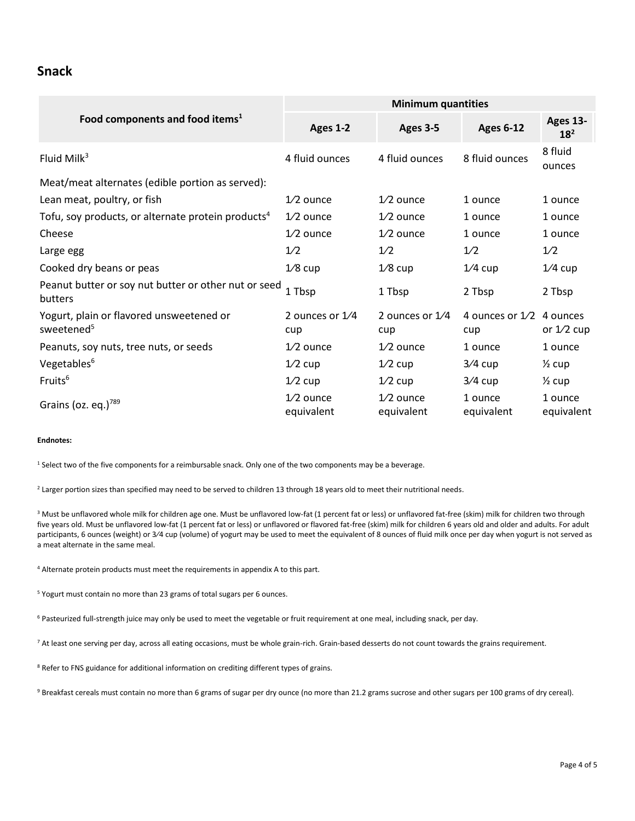#### **Snack**

|                                                                    | <b>Minimum quantities</b> |                           |                          |                             |  |
|--------------------------------------------------------------------|---------------------------|---------------------------|--------------------------|-----------------------------|--|
| Food components and food items <sup>1</sup>                        | Ages 1-2                  | Ages 3-5                  | <b>Ages 6-12</b>         | Ages 13-<br>18 <sup>2</sup> |  |
| Fluid Mil $k^3$                                                    | 4 fluid ounces            | 4 fluid ounces            | 8 fluid ounces           | 8 fluid<br>ounces           |  |
| Meat/meat alternates (edible portion as served):                   |                           |                           |                          |                             |  |
| Lean meat, poultry, or fish                                        | $1/2$ ounce               | $1/2$ ounce               | 1 ounce                  | 1 ounce                     |  |
| Tofu, soy products, or alternate protein products <sup>4</sup>     | $1/2$ ounce               | $1/2$ ounce               | 1 ounce                  | 1 ounce                     |  |
| Cheese                                                             | $1/2$ ounce               | $1/2$ ounce               | 1 ounce                  | 1 ounce                     |  |
| Large egg                                                          | 1/2                       | 1/2                       | 1/2                      | 1/2                         |  |
| Cooked dry beans or peas                                           | $1/8$ cup                 | $1/8$ cup                 | $1/4$ cup                | $1/4$ cup                   |  |
| Peanut butter or soy nut butter or other nut or seed<br>butters    | 1 Tbsp                    | 1 Tbsp                    | 2 Tbsp                   | 2 Tbsp                      |  |
| Yogurt, plain or flavored unsweetened or<br>sweetened <sup>5</sup> | 2 ounces or 1/4<br>cup    | 2 ounces or $1/4$<br>cup  | 4 ounces or $1/2$<br>cup | 4 ounces<br>or $1/2$ cup    |  |
| Peanuts, soy nuts, tree nuts, or seeds                             | $1/2$ ounce               | $1/2$ ounce               | 1 ounce                  | 1 ounce                     |  |
| Vegetables <sup>6</sup>                                            | $1/2$ cup                 | $1/2$ cup                 | $3/4$ cup                | $\frac{1}{2}$ cup           |  |
| Fruits <sup>6</sup>                                                | $1/2$ cup                 | $1/2$ cup                 | $3/4$ cup                | $\frac{1}{2}$ cup           |  |
| Grains (oz. eq.) $789$                                             | $1/2$ ounce<br>equivalent | $1/2$ ounce<br>equivalent | 1 ounce<br>equivalent    | 1 ounce<br>equivalent       |  |

#### **Endnotes:**

<sup>1</sup> Select two of the five components for a reimbursable snack. Only one of the two components may be a beverage.

<sup>2</sup> Larger portion sizes than specified may need to be served to children 13 through 18 years old to meet their nutritional needs.

<sup>3</sup> Must be unflavored whole milk for children age one. Must be unflavored low-fat (1 percent fat or less) or unflavored fat-free (skim) milk for children two through five years old. Must be unflavored low-fat (1 percent fat or less) or unflavored or flavored fat-free (skim) milk for children 6 years old and older and adults. For adult participants, 6 ounces (weight) or 3/4 cup (volume) of yogurt may be used to meet the equivalent of 8 ounces of fluid milk once per day when yogurt is not served as a meat alternate in the same meal.

<sup>4</sup> Alternate protein products must meet the requirements in appendix A to this part.

<sup>5</sup> Yogurt must contain no more than 23 grams of total sugars per 6 ounces.

<sup>6</sup> Pasteurized full-strength juice may only be used to meet the vegetable or fruit requirement at one meal, including snack, per day.

<sup>7</sup> At least one serving per day, across all eating occasions, must be whole grain-rich. Grain-based desserts do not count towards the grains requirement.

<sup>8</sup> Refer to FNS guidance for additional information on crediting different types of grains.

9 Breakfast cereals must contain no more than 6 grams of sugar per dry ounce (no more than 21.2 grams sucrose and other sugars per 100 grams of dry cereal).